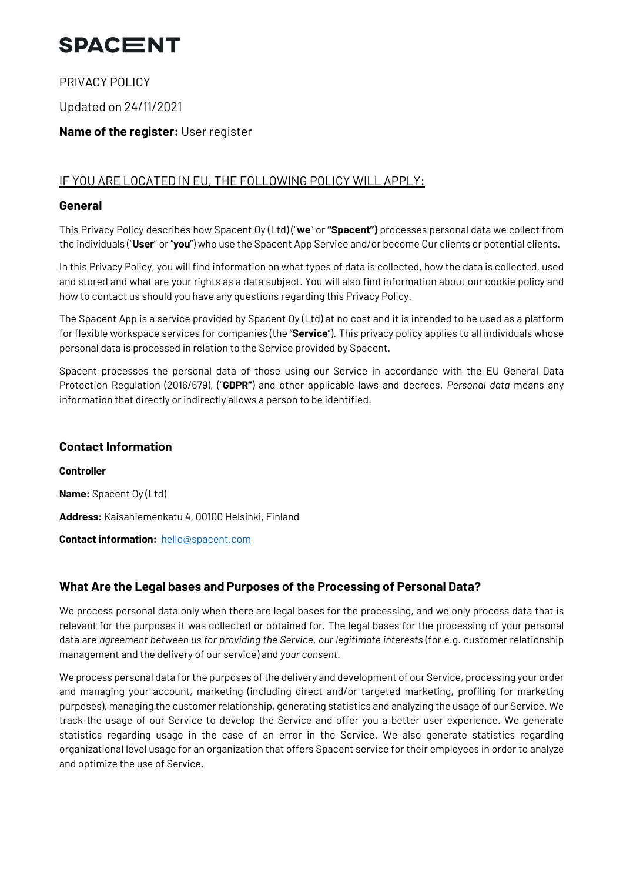PRIVACY POLICY

Updated on 24/11/2021

### **Name of the register:** User register

### IF YOU ARE LOCATED IN EU, THE FOLLOWING POLICY WILL APPLY:

#### **General**

This Privacy Policy describes how Spacent Oy (Ltd) ("**we**" or **"Spacent")** processes personal data we collect from the individuals ("**User**" or "**you**") who use the Spacent App Service and/or become Our clients or potential clients.

In this Privacy Policy, you will find information on what types of data is collected, how the data is collected, used and stored and what are your rights as a data subject. You will also find information about our cookie policy and how to contact us should you have any questions regarding this Privacy Policy.

The Spacent App is a service provided by Spacent Oy (Ltd) at no cost and it is intended to be used as a platform for flexible workspace services for companies (the "**Service**"). This privacy policy applies to all individuals whose personal data is processed in relation to the Service provided by Spacent.

Spacent processes the personal data of those using our Service in accordance with the EU General Data Protection Regulation (2016/679), ("**GDPR"**) and other applicable laws and decrees. *Personal data* means any information that directly or indirectly allows a person to be identified.

#### **Contact Information**

**Controller Name:** Spacent Oy (Ltd) **Address:** Kaisaniemenkatu 4, 00100 Helsinki, Finland **Contact information:** hello@spacent.com

### **What Are the Legal bases and Purposes of the Processing of Personal Data?**

We process personal data only when there are legal bases for the processing, and we only process data that is relevant for the purposes it was collected or obtained for. The legal bases for the processing of your personal data are *agreement between us for providing the Service*, *our legitimate interests* (for e.g. customer relationship management and the delivery of our service) and *your consent*.

We process personal data for the purposes of the delivery and development of our Service, processing your order and managing your account, marketing (including direct and/or targeted marketing, profiling for marketing purposes), managing the customer relationship, generating statistics and analyzing the usage of our Service. We track the usage of our Service to develop the Service and offer you a better user experience. We generate statistics regarding usage in the case of an error in the Service. We also generate statistics regarding organizational level usage for an organization that offers Spacent service for their employees in order to analyze and optimize the use of Service.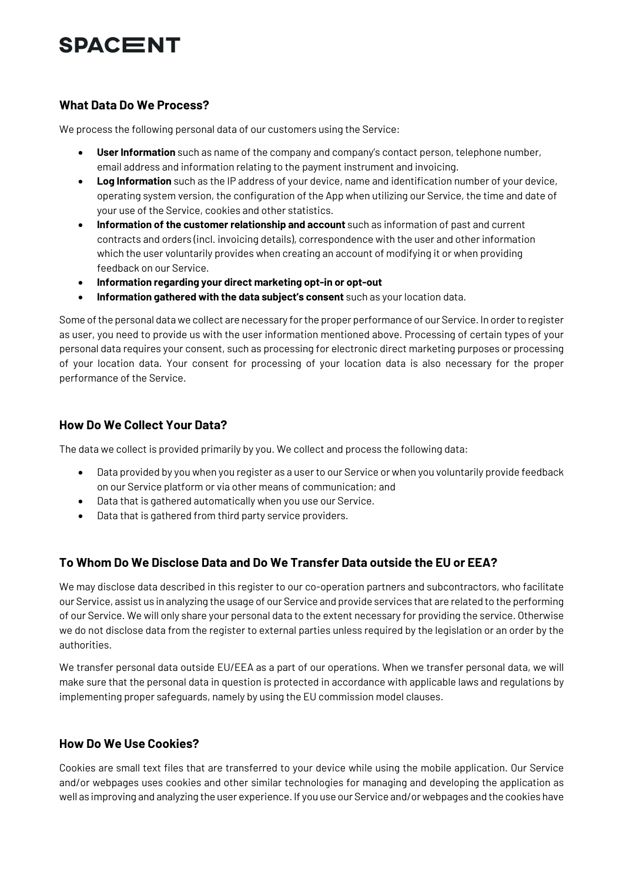### **What Data Do We Process?**

We process the following personal data of our customers using the Service:

- **User Information** such as name of the company and company's contact person, telephone number, email address and information relating to the payment instrument and invoicing.
- **Log Information** such as the IP address of your device, name and identification number of your device, operating system version, the configuration of the App when utilizing our Service, the time and date of your use of the Service, cookies and other statistics.
- **Information of the customer relationship and account** such as information of past and current contracts and orders (incl. invoicing details), correspondence with the user and other information which the user voluntarily provides when creating an account of modifying it or when providing feedback on our Service.
- **Information regarding your direct marketing opt-in or opt-out**
- **Information gathered with the data subject's consent** such as your location data.

Some of the personal data we collect are necessary for the proper performance of our Service. In order to register as user, you need to provide us with the user information mentioned above. Processing of certain types of your personal data requires your consent, such as processing for electronic direct marketing purposes or processing of your location data. Your consent for processing of your location data is also necessary for the proper performance of the Service.

### **How Do We Collect Your Data?**

The data we collect is provided primarily by you. We collect and process the following data:

- Data provided by you when you register as a user to our Service or when you voluntarily provide feedback on our Service platform or via other means of communication; and
- Data that is gathered automatically when you use our Service.
- Data that is gathered from third party service providers.

### **To Whom Do We Disclose Data and Do We Transfer Data outside the EU or EEA?**

We may disclose data described in this register to our co-operation partners and subcontractors, who facilitate our Service, assist us in analyzing the usage of our Service and provide services that are related to the performing of our Service. We will only share your personal data to the extent necessary for providing the service. Otherwise we do not disclose data from the register to external parties unless required by the legislation or an order by the authorities.

We transfer personal data outside EU/EEA as a part of our operations. When we transfer personal data, we will make sure that the personal data in question is protected in accordance with applicable laws and regulations by implementing proper safeguards, namely by using the EU commission model clauses.

#### **How Do We Use Cookies?**

Cookies are small text files that are transferred to your device while using the mobile application. Our Service and/or webpages uses cookies and other similar technologies for managing and developing the application as well as improving and analyzing the user experience. If you use our Service and/or webpages and the cookies have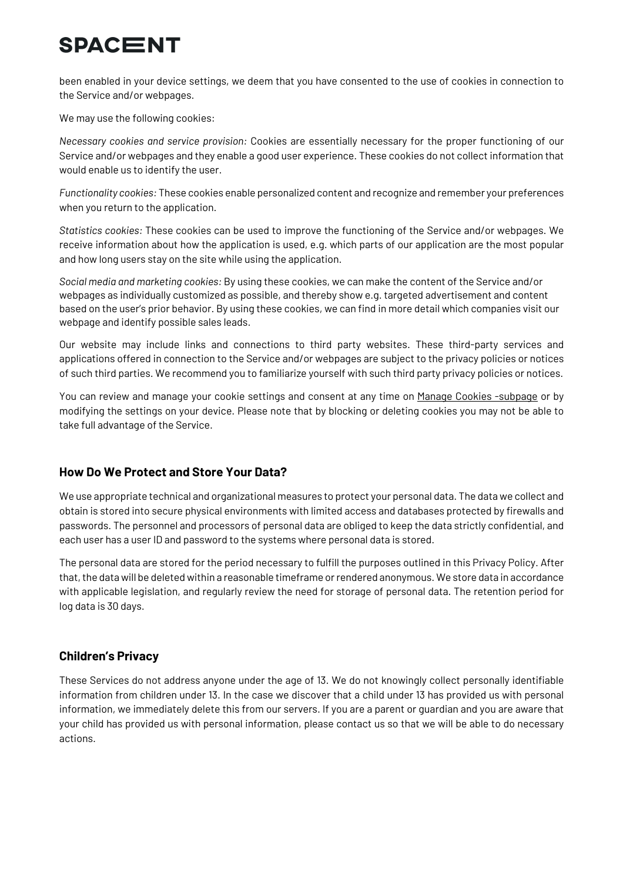been enabled in your device settings, we deem that you have consented to the use of cookies in connection to the Service and/or webpages.

We may use the following cookies:

*Necessary cookies and service provision:* Cookies are essentially necessary for the proper functioning of our Service and/or webpages and they enable a good user experience. These cookies do not collect information that would enable us to identify the user.

*Functionality cookies:* These cookies enable personalized content and recognize and remember your preferences when you return to the application.

*Statistics cookies:* These cookies can be used to improve the functioning of the Service and/or webpages. We receive information about how the application is used, e.g. which parts of our application are the most popular and how long users stay on the site while using the application.

*Social media and marketing cookies:* By using these cookies, we can make the content of the Service and/or webpages as individually customized as possible, and thereby show e.g. targeted advertisement and content based on the user's prior behavior. By using these cookies, we can find in more detail which companies visit our webpage and identify possible sales leads.

Our website may include links and connections to third party websites. These third-party services and applications offered in connection to the Service and/or webpages are subject to the privacy policies or notices of such third parties. We recommend you to familiarize yourself with such third party privacy policies or notices.

You can review and manage your cookie settings and consent at any time on Manage Cookies -subpage or by modifying the settings on your device. Please note that by blocking or deleting cookies you may not be able to take full advantage of the Service.

### **How Do We Protect and Store Your Data?**

We use appropriate technical and organizational measures to protect your personal data. The data we collect and obtain is stored into secure physical environments with limited access and databases protected by firewalls and passwords. The personnel and processors of personal data are obliged to keep the data strictly confidential, and each user has a user ID and password to the systems where personal data is stored.

The personal data are stored for the period necessary to fulfill the purposes outlined in this Privacy Policy. After that, the data will be deleted within a reasonable timeframe or rendered anonymous. We store data in accordance with applicable legislation, and regularly review the need for storage of personal data. The retention period for log data is 30 days.

### **Children's Privacy**

These Services do not address anyone under the age of 13. We do not knowingly collect personally identifiable information from children under 13. In the case we discover that a child under 13 has provided us with personal information, we immediately delete this from our servers. If you are a parent or guardian and you are aware that your child has provided us with personal information, please contact us so that we will be able to do necessary actions.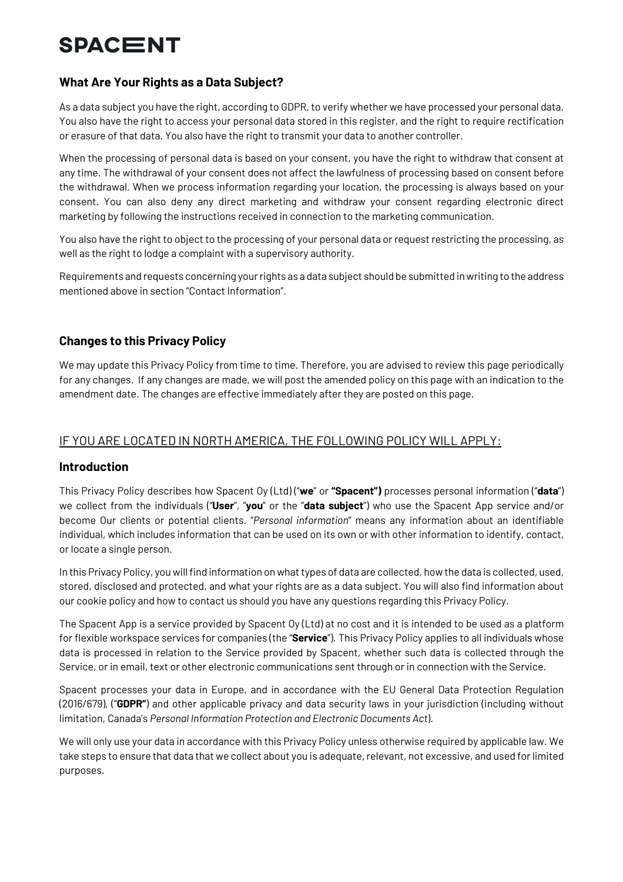### **What Are Your Rights as a Data Subject?**

As a data subject you have the right, according to GDPR, to verify whether we have processed your personal data. You also have the right to access your personal data stored in this register, and the right to require rectification or erasure of that data. You also have the right to transmit your data to another controller.

When the processing of personal data is based on your consent, you have the right to withdraw that consent at any time. The withdrawal of your consent does not affect the lawfulness of processing based on consent before the withdrawal. When we process information regarding your location, the processing is always based on your consent. You can also deny any direct marketing and withdraw your consent regarding electronic direct marketing by following the instructions received in connection to the marketing communication.

You also have the right to object to the processing of your personal data or request restricting the processing, as well as the right to lodge a complaint with a supervisory authority.

Requirements and requests concerning your rights as a data subject should be submitted in writing to the address mentioned above in section "Contact Information".

### **Changes to this Privacy Policy**

We may update this Privacy Policy from time to time. Therefore, you are advised to review this page periodically for any changes. If any changes are made, we will post the amended policy on this page with an indication to the amendment date. The changes are effective immediately after they are posted on this page.

### IF YOU ARE LOCATED IN NORTH AMERICA, THE FOLLOWING POLICY WILL APPLY:

#### **Introduction**

This Privacy Policy describes how Spacent Oy (Ltd) ("**we**" or **"Spacent")** processes personal information ("**data**") we collect from the individuals ("**User**", "**you**" or the "**data subject**") who use the Spacent App service and/or become Our clients or potential clients. "*Personal information*" means any information about an identifiable individual, which includes information that can be used on its own or with other information to identify, contact, or locate a single person.

In this Privacy Policy, you will find information on what types of data are collected, how the data is collected, used, stored, disclosed and protected, and what your rights are as a data subject. You will also find information about our cookie policy and how to contact us should you have any questions regarding this Privacy Policy.

The Spacent App is a service provided by Spacent Oy (Ltd) at no cost and it is intended to be used as a platform for flexible workspace services for companies (the "**Service**"). This Privacy Policy applies to all individuals whose data is processed in relation to the Service provided by Spacent, whether such data is collected through the Service, or in email, text or other electronic communications sent through or in connection with the Service.

Spacent processes your data in Europe, and in accordance with the EU General Data Protection Regulation (2016/679), ("**GDPR"**) and other applicable privacy and data security laws in your jurisdiction (including without limitation, Canada's *Personal Information Protection and Electronic Documents Act*).

We will only use your data in accordance with this Privacy Policy unless otherwise required by applicable law. We take steps to ensure that data that we collect about you is adequate, relevant, not excessive, and used for limited purposes.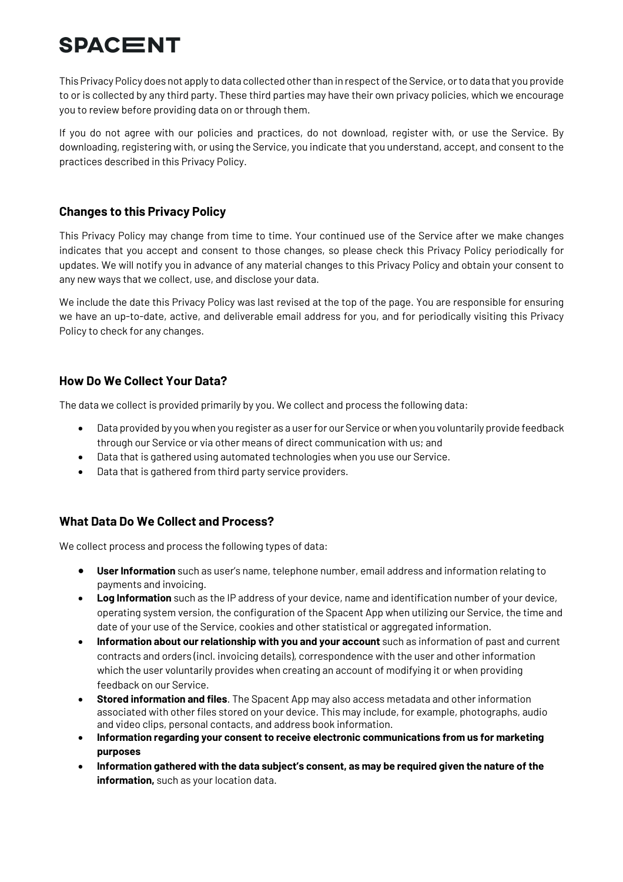This Privacy Policy does not apply to data collected other than in respect of the Service, or to data that you provide to or is collected by any third party. These third parties may have their own privacy policies, which we encourage you to review before providing data on or through them.

If you do not agree with our policies and practices, do not download, register with, or use the Service. By downloading, registering with, or using the Service, you indicate that you understand, accept, and consent to the practices described in this Privacy Policy.

### **Changes to this Privacy Policy**

This Privacy Policy may change from time to time. Your continued use of the Service after we make changes indicates that you accept and consent to those changes, so please check this Privacy Policy periodically for updates. We will notify you in advance of any material changes to this Privacy Policy and obtain your consent to any new ways that we collect, use, and disclose your data.

We include the date this Privacy Policy was last revised at the top of the page. You are responsible for ensuring we have an up-to-date, active, and deliverable email address for you, and for periodically visiting this Privacy Policy to check for any changes.

### **How Do We Collect Your Data?**

The data we collect is provided primarily by you. We collect and process the following data:

- Data provided by you when you register as a user for our Service or when you voluntarily provide feedback through our Service or via other means of direct communication with us; and
- Data that is gathered using automated technologies when you use our Service.
- Data that is gathered from third party service providers.

### **What Data Do We Collect and Process?**

We collect process and process the following types of data:

- **User Information** such as user's name, telephone number, email address and information relating to payments and invoicing.
- **Log Information** such as the IP address of your device, name and identification number of your device, operating system version, the configuration of the Spacent App when utilizing our Service, the time and date of your use of the Service, cookies and other statistical or aggregated information.
- **Information about our relationship with you and your account** such as information of past and current contracts and orders (incl. invoicing details), correspondence with the user and other information which the user voluntarily provides when creating an account of modifying it or when providing feedback on our Service.
- **Stored information and files**. The Spacent App may also access metadata and other information associated with other files stored on your device. This may include, for example, photographs, audio and video clips, personal contacts, and address book information.
- **Information regarding your consent to receive electronic communications from us for marketing purposes**
- **Information gathered with the data subject's consent, as may be required given the nature of the information,** such as your location data.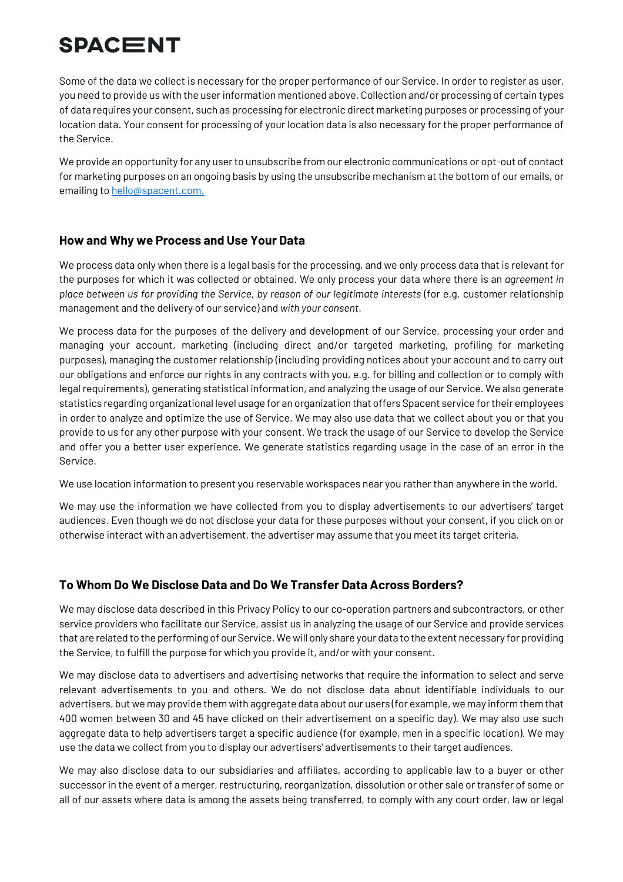Some of the data we collect is necessary for the proper performance of our Service. In order to register as user, you need to provide us with the user information mentioned above. Collection and/or processing of certain types of data requires your consent, such as processing for electronic direct marketing purposes or processing of your location data. Your consent for processing of your location data is also necessary for the proper performance of the Service.

We provide an opportunity for any user to unsubscribe from our electronic communications or opt-out of contact for marketing purposes on an ongoing basis by using the unsubscribe mechanism at the bottom of our emails, or emailing to hello@spacent.com.

### **How and Why we Process and Use Your Data**

We process data only when there is a legal basis for the processing, and we only process data that is relevant for the purposes for which it was collected or obtained. We only process your data where there is an *agreement in place between us for providing the Service*, *by reason of our legitimate interests* (for e.g. customer relationship management and the delivery of our service) and *with your consent*.

We process data for the purposes of the delivery and development of our Service, processing your order and managing your account, marketing (including direct and/or targeted marketing, profiling for marketing purposes), managing the customer relationship (including providing notices about your account and to carry out our obligations and enforce our rights in any contracts with you, e.g. for billing and collection or to comply with legal requirements), generating statistical information, and analyzing the usage of our Service. We also generate statistics regarding organizational level usage for an organization that offers Spacent service for their employees in order to analyze and optimize the use of Service. We may also use data that we collect about you or that you provide to us for any other purpose with your consent. We track the usage of our Service to develop the Service and offer you a better user experience. We generate statistics regarding usage in the case of an error in the Service.

We use location information to present you reservable workspaces near you rather than anywhere in the world.

We may use the information we have collected from you to display advertisements to our advertisers' target audiences. Even though we do not disclose your data for these purposes without your consent, if you click on or otherwise interact with an advertisement, the advertiser may assume that you meet its target criteria.

### **To Whom Do We Disclose Data and Do We Transfer Data Across Borders?**

We may disclose data described in this Privacy Policy to our co-operation partners and subcontractors, or other service providers who facilitate our Service, assist us in analyzing the usage of our Service and provide services that are related to the performing of our Service. We will only share your data to the extent necessary for providing the Service, to fulfill the purpose for which you provide it, and/or with your consent.

We may disclose data to advertisers and advertising networks that require the information to select and serve relevant advertisements to you and others. We do not disclose data about identifiable individuals to our advertisers, but we may provide them with aggregate data about our users (for example, we may inform them that 400 women between 30 and 45 have clicked on their advertisement on a specific day). We may also use such aggregate data to help advertisers target a specific audience (for example, men in a specific location). We may use the data we collect from you to display our advertisers' advertisements to their target audiences.

We may also disclose data to our subsidiaries and affiliates, according to applicable law to a buyer or other successor in the event of a merger, restructuring, reorganization, dissolution or other sale or transfer of some or all of our assets where data is among the assets being transferred, to comply with any court order, law or legal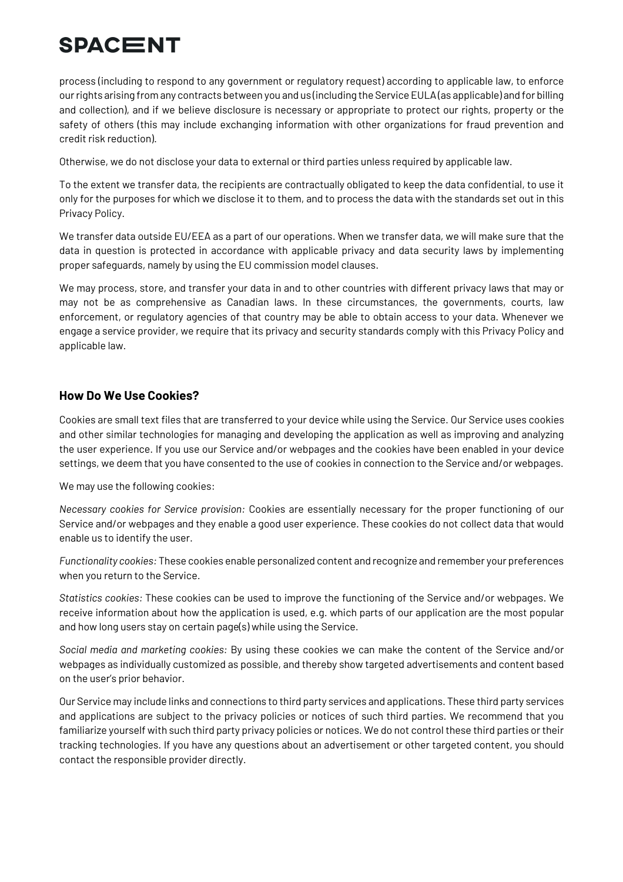process (including to respond to any government or regulatory request) according to applicable law, to enforce our rights arising from any contracts between you and us (including the Service EULA (as applicable) and for billing and collection), and if we believe disclosure is necessary or appropriate to protect our rights, property or the safety of others (this may include exchanging information with other organizations for fraud prevention and credit risk reduction).

Otherwise, we do not disclose your data to external or third parties unless required by applicable law.

To the extent we transfer data, the recipients are contractually obligated to keep the data confidential, to use it only for the purposes for which we disclose it to them, and to process the data with the standards set out in this Privacy Policy.

We transfer data outside EU/EEA as a part of our operations. When we transfer data, we will make sure that the data in question is protected in accordance with applicable privacy and data security laws by implementing proper safeguards, namely by using the EU commission model clauses.

We may process, store, and transfer your data in and to other countries with different privacy laws that may or may not be as comprehensive as Canadian laws. In these circumstances, the governments, courts, law enforcement, or regulatory agencies of that country may be able to obtain access to your data. Whenever we engage a service provider, we require that its privacy and security standards comply with this Privacy Policy and applicable law.

### **How Do We Use Cookies?**

Cookies are small text files that are transferred to your device while using the Service. Our Service uses cookies and other similar technologies for managing and developing the application as well as improving and analyzing the user experience. If you use our Service and/or webpages and the cookies have been enabled in your device settings, we deem that you have consented to the use of cookies in connection to the Service and/or webpages.

We may use the following cookies:

*Necessary cookies for Service provision:* Cookies are essentially necessary for the proper functioning of our Service and/or webpages and they enable a good user experience. These cookies do not collect data that would enable us to identify the user.

*Functionality cookies:* These cookies enable personalized content and recognize and remember your preferences when you return to the Service.

*Statistics cookies:* These cookies can be used to improve the functioning of the Service and/or webpages. We receive information about how the application is used, e.g. which parts of our application are the most popular and how long users stay on certain page(s) while using the Service.

*Social media and marketing cookies:* By using these cookies we can make the content of the Service and/or webpages as individually customized as possible, and thereby show targeted advertisements and content based on the user's prior behavior.

Our Service may include links and connections to third party services and applications. These third party services and applications are subject to the privacy policies or notices of such third parties. We recommend that you familiarize yourself with such third party privacy policies or notices. We do not control these third parties or their tracking technologies. If you have any questions about an advertisement or other targeted content, you should contact the responsible provider directly.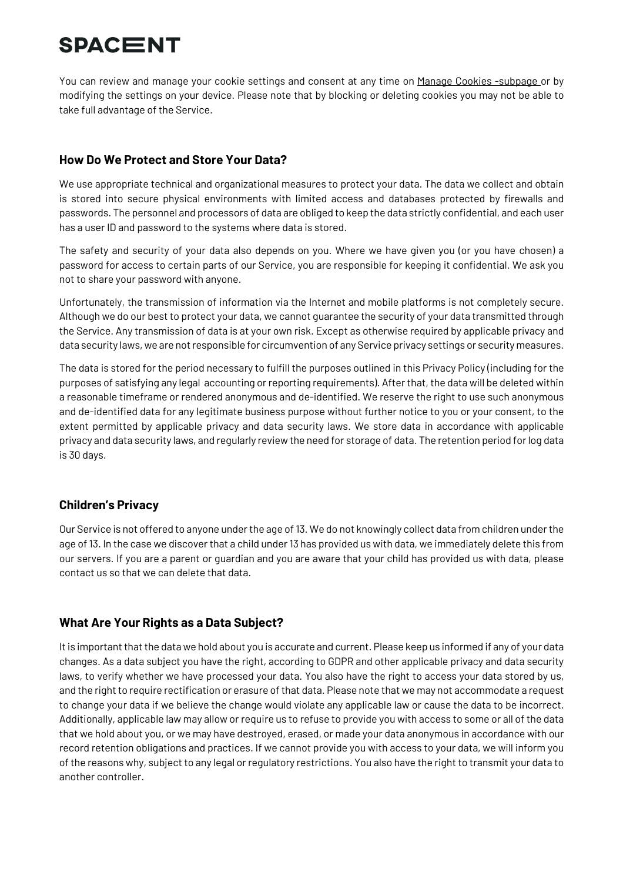You can review and manage your cookie settings and consent at any time on Manage Cookies -subpage or by modifying the settings on your device. Please note that by blocking or deleting cookies you may not be able to take full advantage of the Service.

### **How Do We Protect and Store Your Data?**

We use appropriate technical and organizational measures to protect your data. The data we collect and obtain is stored into secure physical environments with limited access and databases protected by firewalls and passwords. The personnel and processors of data are obliged to keep the data strictly confidential, and each user has a user ID and password to the systems where data is stored.

The safety and security of your data also depends on you. Where we have given you (or you have chosen) a password for access to certain parts of our Service, you are responsible for keeping it confidential. We ask you not to share your password with anyone.

Unfortunately, the transmission of information via the Internet and mobile platforms is not completely secure. Although we do our best to protect your data, we cannot guarantee the security of your data transmitted through the Service. Any transmission of data is at your own risk. Except as otherwise required by applicable privacy and data security laws, we are not responsible for circumvention of any Service privacy settings or security measures.

The data is stored for the period necessary to fulfill the purposes outlined in this Privacy Policy (including for the purposes of satisfying any legal accounting or reporting requirements). After that, the data will be deleted within a reasonable timeframe or rendered anonymous and de-identified. We reserve the right to use such anonymous and de-identified data for any legitimate business purpose without further notice to you or your consent, to the extent permitted by applicable privacy and data security laws. We store data in accordance with applicable privacy and data security laws, and regularly review the need for storage of data. The retention period for log data is 30 days.

### **Children's Privacy**

Our Service is not offered to anyone under the age of 13. We do not knowingly collect data from children under the age of 13. In the case we discover that a child under 13 has provided us with data, we immediately delete this from our servers. If you are a parent or guardian and you are aware that your child has provided us with data, please contact us so that we can delete that data.

### **What Are Your Rights as a Data Subject?**

It is important that the data we hold about you is accurate and current. Please keep us informed if any of your data changes. As a data subject you have the right, according to GDPR and other applicable privacy and data security laws, to verify whether we have processed your data. You also have the right to access your data stored by us, and the right to require rectification or erasure of that data. Please note that we may not accommodate a request to change your data if we believe the change would violate any applicable law or cause the data to be incorrect. Additionally, applicable law may allow or require us to refuse to provide you with access to some or all of the data that we hold about you, or we may have destroyed, erased, or made your data anonymous in accordance with our record retention obligations and practices. If we cannot provide you with access to your data, we will inform you of the reasons why, subject to any legal or regulatory restrictions. You also have the right to transmit your data to another controller.